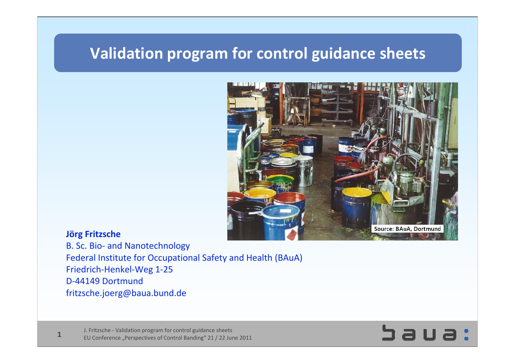# **Validation program for control guidance sheets**



#### **Jörg Fritzsche**

B. Sc. Bio‐ and Nanotechnology Federal Institute for Occupational Safety and Health (BAuA) Friedrich‐Henkel‐Weg 1‐25 D‐44149 Dortmund [fritzsche.joerg@baua.bund.de](mailto:fritzsche.joerg@baua.bund.de)

J. Fritzsche - Validation program for control guidance sheets EU Conference "Perspectives of Control Banding" 21 / 22 June 2011

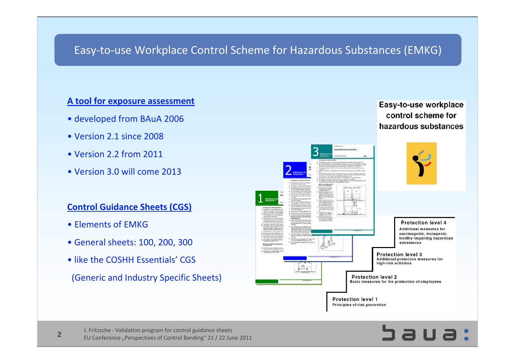#### Easy‐to‐use Workplace Control Scheme for Hazardous Substances (EMKG)

#### **A tool for exposure assessment**

- developed from BAuA 2006
- Version 2.1 since 2008
- Version 2.2 from 2011
- Version 3.0 will come 2013

#### **Control Guidance Sheets (CGS)**

- Elements of EMKG
- General sheets: 100, 200, 300
- like the COSHH Essentials' CGS

(Generic and Industry Specific Sheets)



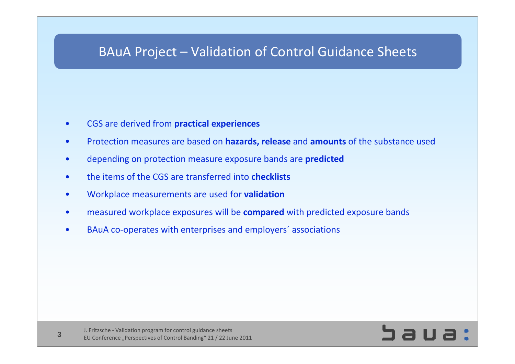## BAuA Project – Validation of Control Guidance Sheets

- •CGS are derived from **practical experiences**
- •Protection measures are based on **hazards, release** and **amounts** of the substance used
- •depending on protection measure exposure bands are **predicted**
- •the items of the CGS are transferred into **checklists**
- •Workplace measurements are used for **validation**
- •measured workplace exposures will be **compared** with predicted exposure bands
- •BAuA co-operates with enterprises and employers' associations

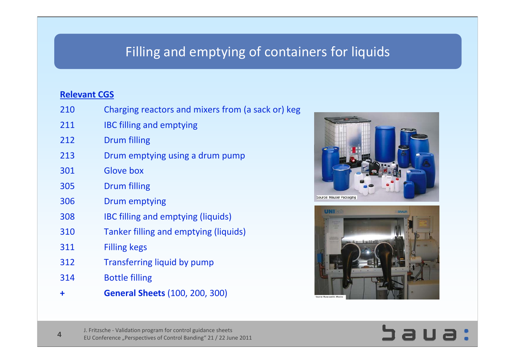# Filling and emptying of containers for liquids

#### **Relevant CGS**

**4**

| 210 | Charging reactors and mixers from (a sack or) keg |
|-----|---------------------------------------------------|
| 211 | <b>IBC filling and emptying</b>                   |
| 212 | Drum filling                                      |
| 213 | Drum emptying using a drum pump                   |
| 301 | Glove box                                         |
| 305 | <b>Drum filling</b>                               |
| 306 | Drum emptying                                     |
| 308 | <b>IBC filling and emptying (liquids)</b>         |
| 310 | Tanker filling and emptying (liquids)             |
| 311 | <b>Filling kegs</b>                               |
| 312 | Transferring liquid by pump                       |
| 314 | <b>Bottle filling</b>                             |
| ╋   | <b>General Sheets (100, 200, 300)</b>             |





# **SOUSC**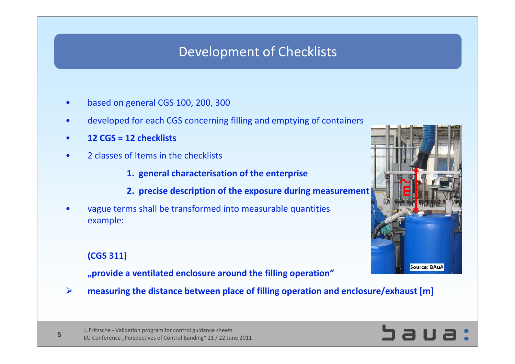## Development of Checklists

- •based on general CGS 100, 200, 300
- •developed for each CGS concerning filling and emptying of containers
- •**12 CGS <sup>=</sup> 12 checklists**
- • 2 classes of Items in the checklists
	- **1. general characterisation of the enterprise**
	- **2. precise description of the exposure during measurement**
- • vague terms shall be transformed into measurable quantities example:

#### **(CGS 311)**

**5**

**"provide <sup>a</sup> ventilated enclosure around the filling operation"**

¾**measuring the distance between place of filling operation and enclosure/exhaust [m]**



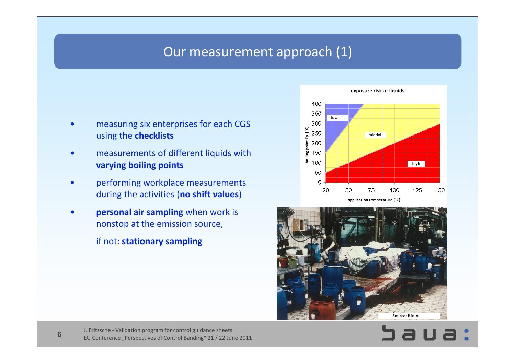### Our measurement approach (1)

- • measuring six enterprises for each CGS using the **checklists**
- • measurements of different liquids with **varying boiling points**
- • performing workplace measurements during the activities (**no shift values**)
- • **personal air sampling** when work is nonstop at the emission source,
	- if not: **stationary sampling**





J. Fritzsche - Validation program for control guidance sheets EU Conference "Perspectives of Control Banding" 21 / 22 June 2011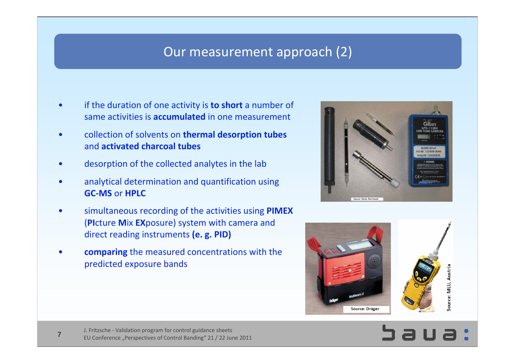### Our measurement approach (2)

- • if the duration of one activity is **to short** <sup>a</sup> number of same activities is **accumulated** in one measurement
- • collection of solvents on **thermal desorption tubes** and **activated charcoal tubes**
- •desorption of the collected analytes in the lab
- • analytical determination and quantification using **GC‐MS** or **HPLC**
- • simultaneous recording of the activities using **PIMEX** (**PI**cture **M**ix **EX**posure) system with camera and direct reading instruments **(e. g. PID)**
- • **comparing** the measured concentrations with the predicted exposure bands







J. Fritzsche - Validation program for control guidance sheets EU Conference "Perspectives of Control Banding" 21 / 22 June 2011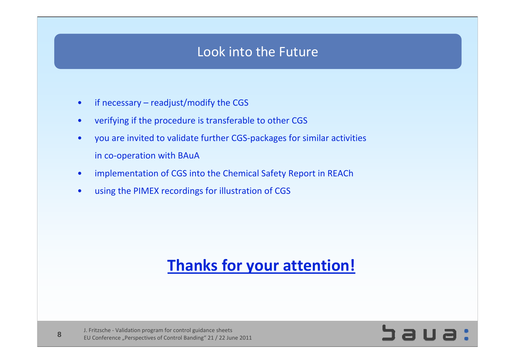### Look into the Future

- •if necessary – readjust/modify the CGS
- $\bullet$ verifying if the procedure is transferable to other CGS
- • you are invited to validate further CGS‐packages for similar activities in co‐operation with BAuA
- $\bullet$ implementation of CGS into the Chemical Safety Report in REACh
- $\bullet$ using the PIMEX recordings for illustration of CGS

# **Thanks for your attention!**